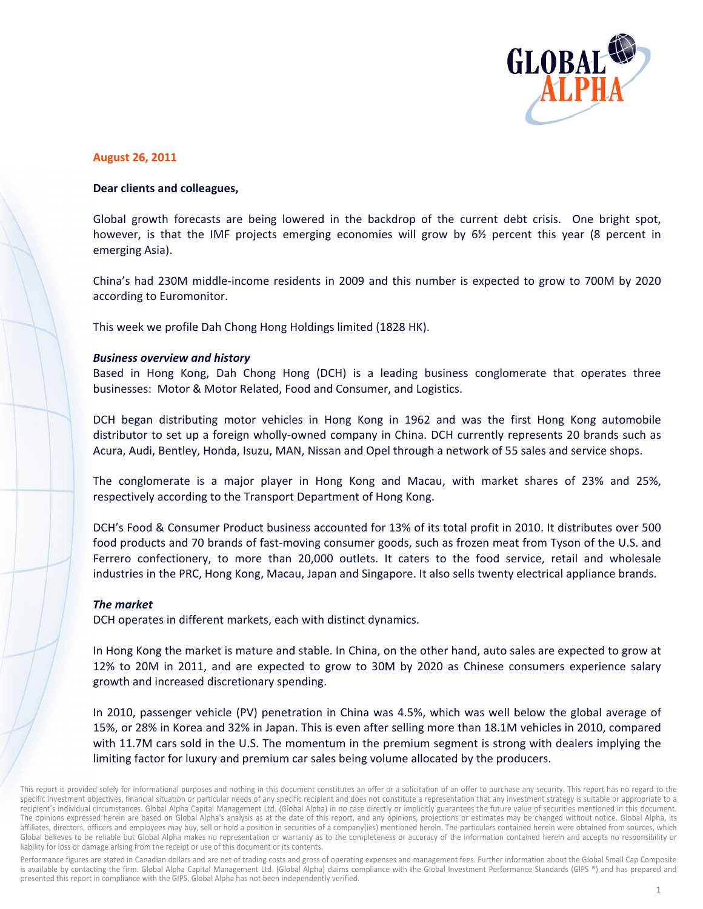

# **August 26, 2011**

# Dear clients and colleagues,

Global growth forecasts are being lowered in the backdrop of the current debt crisis. One bright spot, however, is that the IMF projects emerging economies will grow by 6<sup>1/2</sup> percent this year (8 percent in emerging Asia).

China's had 230M middle-income residents in 2009 and this number is expected to grow to 700M by 2020 according to Euromonitor.

This week we profile Dah Chong Hong Holdings limited (1828 HK).

# **Business overview and history**

Based in Hong Kong, Dah Chong Hong (DCH) is a leading business conglomerate that operates three businesses: Motor & Motor Related, Food and Consumer, and Logistics.

DCH began distributing motor vehicles in Hong Kong in 1962 and was the first Hong Kong automobile distributor to set up a foreign wholly-owned company in China. DCH currently represents 20 brands such as Acura, Audi, Bentley, Honda, Isuzu, MAN, Nissan and Opel through a network of 55 sales and service shops.

The conglomerate is a major player in Hong Kong and Macau, with market shares of 23% and 25%, respectively according to the Transport Department of Hong Kong.

DCH's Food & Consumer Product business accounted for 13% of its total profit in 2010. It distributes over 500 food products and 70 brands of fast-moving consumer goods, such as frozen meat from Tyson of the U.S. and Ferrero confectionery, to more than 20,000 outlets. It caters to the food service, retail and wholesale industries in the PRC, Hong Kong, Macau, Japan and Singapore. It also sells twenty electrical appliance brands.

# The market

DCH operates in different markets, each with distinct dynamics.

In Hong Kong the market is mature and stable. In China, on the other hand, auto sales are expected to grow at 12% to 20M in 2011, and are expected to grow to 30M by 2020 as Chinese consumers experience salary growth and increased discretionary spending.

In 2010, passenger vehicle (PV) penetration in China was 4.5%, which was well below the global average of 15%, or 28% in Korea and 32% in Japan. This is even after selling more than 18.1M vehicles in 2010, compared with 11.7M cars sold in the U.S. The momentum in the premium segment is strong with dealers implying the limiting factor for luxury and premium car sales being volume allocated by the producers.

Performance figures are stated in Canadian dollars and are net of trading costs and gross of operating expenses and management fees. Further information about the Global Small Cap Composite is available by contacting the firm. Global Alpha Capital Management Ltd. (Global Alpha) claims compliance with the Global Investment Performance Standards (GIPS ®) and has prepared and presented this report in compliance with the GIPS. Global Alpha has not been independently verified.

This report is provided solely for informational purposes and nothing in this document constitutes an offer or a solicitation of an offer to purchase any security. This report has no regard to the specific investment objectives, financial situation or particular needs of any specific recipient and does not constitute a representation that any investment strategy is suitable or appropriate to a recipient's individual circumstances. Global Alpha Capital Management Ltd. (Global Alpha) in no case directly or implicitly guarantees the future value of securities mentioned in this document. The opinions expressed herein are based on Global Alpha's analysis as at the date of this report, and any opinions, projections or estimates may be changed without notice. Global Alpha, its affiliates, directors, officers and employees may buy, sell or hold a position in securities of a company(ies) mentioned herein. The particulars contained herein were obtained from sources, which Global believes to be reliable but Global Alpha makes no representation or warranty as to the completeness or accuracy of the information contained herein and accepts no responsibility or liability for loss or damage arising from the receipt or use of this document or its contents.